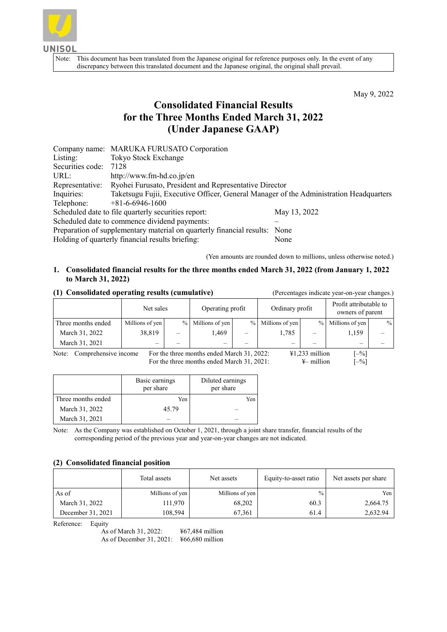

Note: This document has been translated from the Japanese original for reference purposes only. In the event of any discrepancy between this translated document and the Japanese original, the original shall prevail.

May 9, 2022

# **Consolidated Financial Results for the Three Months Ended March 31, 2022 (Under Japanese GAAP)**

| Taketsugu Fujii, Executive Officer, General Manager of the Administration Headquarters |
|----------------------------------------------------------------------------------------|
|                                                                                        |
|                                                                                        |
|                                                                                        |
|                                                                                        |
|                                                                                        |
|                                                                                        |

(Yen amounts are rounded down to millions, unless otherwise noted.)

# **1. Consolidated financial results for the three months ended March 31, 2022 (from January 1, 2022 to March 31, 2022)**

### **(1) Consolidated operating results (cumulative)** (Percentages indicate year-on-year changes.)

|                    | Net sales       |   | Operating profit  |   | Ordinary profit   |   | Profit attributable to<br>owners of parent |      |
|--------------------|-----------------|---|-------------------|---|-------------------|---|--------------------------------------------|------|
| Three months ended | Millions of yen |   | % Millions of yen |   | % Millions of yen |   | % Millions of yen                          | $\%$ |
| March 31, 2022     | 38,819          | - | 1.469             | - | 1.785             | - | 1,159                                      |      |
| March 31, 2021     |                 |   |                   | - | -                 |   | –                                          |      |

Note: Comprehensive income For the three months ended March 31, 2022:  $\frac{\text{#1,233 million}}{\text{For the three months ended March 31, 2021:}}$  [-%] For the three months ended March 31, 2021:  $\qquad \qquad \text{#-million}$ 

| arch 31, 2021: | $\frac{V}{I}$ mill |
|----------------|--------------------|
|                |                    |

|                    | Basic earnings<br>per share | Diluted earnings<br>per share |
|--------------------|-----------------------------|-------------------------------|
| Three months ended | Yen                         | Yen                           |
| March 31, 2022     | 45.79                       |                               |
| March 31, 2021     |                             |                               |

Note: As the Company was established on October 1, 2021, through a joint share transfer, financial results of the corresponding period of the previous year and year-on-year changes are not indicated.

## **(2) Consolidated financial position**

|                   | Total assets    | Net assets      | Equity-to-asset ratio | Net assets per share |
|-------------------|-----------------|-----------------|-----------------------|----------------------|
| As of             | Millions of yen | Millions of yen | $\frac{0}{0}$         | Yen                  |
| March 31, 2022    | 111,970         | 68,202          | 60.3                  | 2,664.75             |
| December 31, 2021 | 108,594         | 67,361          | 61.4                  | 2,632.94             |

Reference: Equity

As of March 31, 2022: ¥67,484 million As of December 31, 2021: ¥66,680 million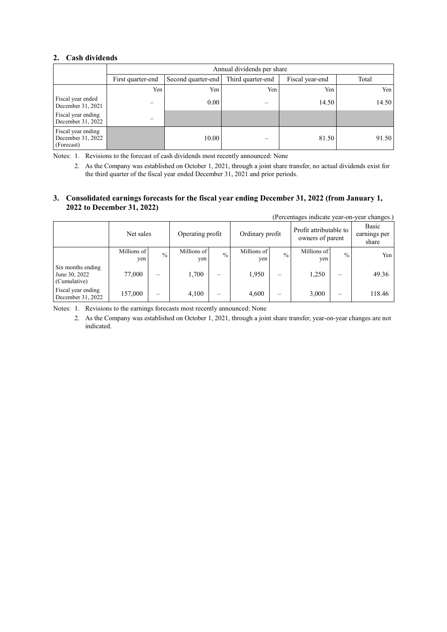## **2. Cash dividends**

|                                                       | Annual dividends per share |                                         |     |                 |       |
|-------------------------------------------------------|----------------------------|-----------------------------------------|-----|-----------------|-------|
|                                                       | First quarter-end          | Third quarter-end<br>Second quarter-end |     | Fiscal year-end | Total |
|                                                       | Yen                        | Yen                                     | Yen | Yen             | Yen   |
| Fiscal year ended<br>December 31, 2021                |                            | 0.00                                    |     | 14.50           | 14.50 |
| Fiscal year ending<br>December 31, 2022               |                            |                                         |     |                 |       |
| Fiscal year ending<br>December 31, 2022<br>(Forecast) |                            | 10.00                                   |     | 81.50           | 91.50 |

Notes: 1. Revisions to the forecast of cash dividends most recently announced: None

2. As the Company was established on October 1, 2021, through a joint share transfer, no actual dividends exist for the third quarter of the fiscal year ended December 31, 2021 and prior periods.

### **3. Consolidated earnings forecasts for the fiscal year ending December 31, 2022 (from January 1, 2022 to December 31, 2022)**

|                                                    |                    |               |                    |               |                    |                          |                                            |                          | (Percentages indicate year-on-year changes.) |
|----------------------------------------------------|--------------------|---------------|--------------------|---------------|--------------------|--------------------------|--------------------------------------------|--------------------------|----------------------------------------------|
|                                                    | Net sales          |               | Operating profit   |               | Ordinary profit    |                          | Profit attributable to<br>owners of parent |                          | Basic<br>earnings per<br>share               |
|                                                    | Millions of<br>yen | $\frac{0}{0}$ | Millions of<br>yen | $\frac{0}{0}$ | Millions of<br>yen | $\frac{0}{0}$            | Millions of<br>yen                         | $\frac{0}{0}$            | Yen                                          |
| Six months ending<br>June 30, 2022<br>(Cumulative) | 77,000             |               | 1,700              | -             | 1,950              | $\overline{\phantom{m}}$ | 1,250                                      |                          | 49.36                                        |
| Fiscal year ending<br>December 31, 2022            | 157,000            | –             | 4,100              | -             | 4,600              | $\overline{\phantom{0}}$ | 3,000                                      | $\overline{\phantom{0}}$ | 118.46                                       |

Notes: 1. Revisions to the earnings forecasts most recently announced: None

2. As the Company was established on October 1, 2021, through a joint share transfer, year-on-year changes are not indicated.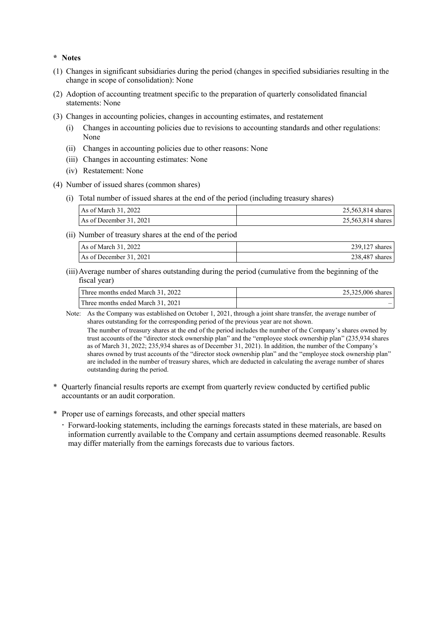### **\* Notes**

- (1) Changes in significant subsidiaries during the period (changes in specified subsidiaries resulting in the change in scope of consolidation): None
- (2) Adoption of accounting treatment specific to the preparation of quarterly consolidated financial statements: None
- (3) Changes in accounting policies, changes in accounting estimates, and restatement
	- Changes in accounting policies due to revisions to accounting standards and other regulations: None
	- (ii) Changes in accounting policies due to other reasons: None
	- (iii) Changes in accounting estimates: None
	- (iv) Restatement: None
- (4) Number of issued shares (common shares)
	- (i) Total number of issued shares at the end of the period (including treasury shares)

| As of March 31, 2022    | 25,563,814 shares |
|-------------------------|-------------------|
| As of December 31, 2021 | 25,563,814 shares |

(ii) Number of treasury shares at the end of the period

| As of March 31, 2022    | 239,127<br>shares |
|-------------------------|-------------------|
| As of December 31, 2021 | 238,487 shares    |

(iii)Average number of shares outstanding during the period (cumulative from the beginning of the fiscal year)

| Three months ended March 31, 2022 | 25,325,006 shares |
|-----------------------------------|-------------------|
| Three months ended March 31, 2021 |                   |

Note: As the Company was established on October 1, 2021, through a joint share transfer, the average number of shares outstanding for the corresponding period of the previous year are not shown.

The number of treasury shares at the end of the period includes the number of the Company's shares owned by trust accounts of the "director stock ownership plan" and the "employee stock ownership plan" (235,934 shares as of March 31, 2022; 235,934 shares as of December 31, 2021). In addition, the number of the Company's shares owned by trust accounts of the "director stock ownership plan" and the "employee stock ownership plan" are included in the number of treasury shares, which are deducted in calculating the average number of shares outstanding during the period.

- \* Quarterly financial results reports are exempt from quarterly review conducted by certified public accountants or an audit corporation.
- \* Proper use of earnings forecasts, and other special matters
	- Forward-looking statements, including the earnings forecasts stated in these materials, are based on information currently available to the Company and certain assumptions deemed reasonable. Results may differ materially from the earnings forecasts due to various factors.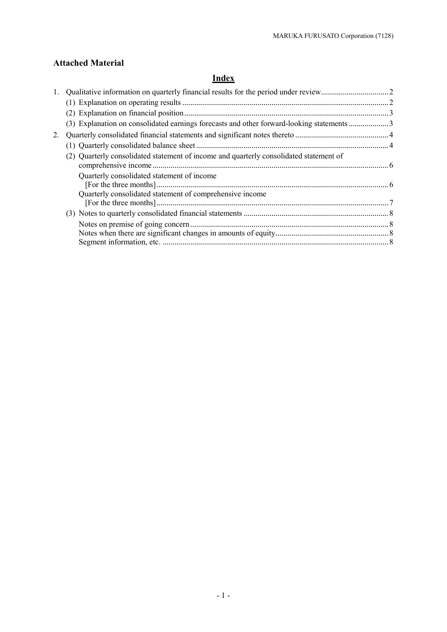# **Attached Material**

# **Index**

| 2. |                                                                                                        |  |
|----|--------------------------------------------------------------------------------------------------------|--|
|    |                                                                                                        |  |
|    | (2) Quarterly consolidated statement of income and quarterly consolidated statement of                 |  |
|    | Quarterly consolidated statement of income<br>Quarterly consolidated statement of comprehensive income |  |
|    |                                                                                                        |  |
|    |                                                                                                        |  |
|    |                                                                                                        |  |
|    |                                                                                                        |  |
|    |                                                                                                        |  |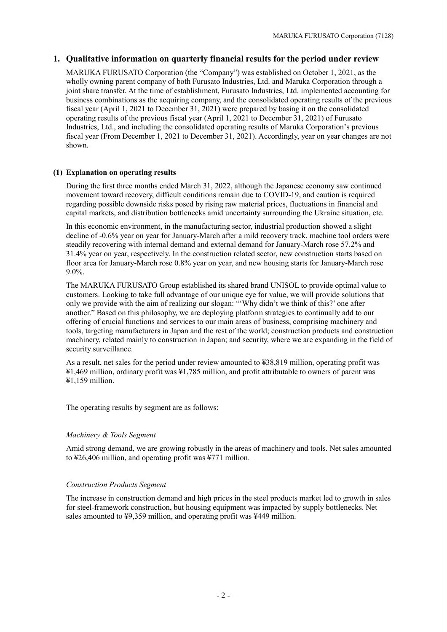# <span id="page-4-0"></span>**1. Qualitative information on quarterly financial results for the period under review**

MARUKA FURUSATO Corporation (the "Company") was established on October 1, 2021, as the wholly owning parent company of both Furusato Industries, Ltd. and Maruka Corporation through a joint share transfer. At the time of establishment, Furusato Industries, Ltd. implemented accounting for business combinations as the acquiring company, and the consolidated operating results of the previous fiscal year (April 1, 2021 to December 31, 2021) were prepared by basing it on the consolidated operating results of the previous fiscal year (April 1, 2021 to December 31, 2021) of Furusato Industries, Ltd., and including the consolidated operating results of Maruka Corporation's previous fiscal year (From December 1, 2021 to December 31, 2021). Accordingly, year on year changes are not shown.

### <span id="page-4-1"></span>**(1) Explanation on operating results**

During the first three months ended March 31, 2022, although the Japanese economy saw continued movement toward recovery, difficult conditions remain due to COVID-19, and caution is required regarding possible downside risks posed by rising raw material prices, fluctuations in financial and capital markets, and distribution bottlenecks amid uncertainty surrounding the Ukraine situation, etc.

In this economic environment, in the manufacturing sector, industrial production showed a slight decline of -0.6% year on year for January-March after a mild recovery track, machine tool orders were steadily recovering with internal demand and external demand for January-March rose 57.2% and 31.4% year on year, respectively. In the construction related sector, new construction starts based on floor area for January-March rose 0.8% year on year, and new housing starts for January-March rose 9.0%.

The MARUKA FURUSATO Group established its shared brand UNISOL to provide optimal value to customers. Looking to take full advantage of our unique eye for value, we will provide solutions that only we provide with the aim of realizing our slogan: "'Why didn't we think of this?' one after another." Based on this philosophy, we are deploying platform strategies to continually add to our offering of crucial functions and services to our main areas of business, comprising machinery and tools, targeting manufacturers in Japan and the rest of the world; construction products and construction machinery, related mainly to construction in Japan; and security, where we are expanding in the field of security surveillance.

As a result, net sales for the period under review amounted to ¥38,819 million, operating profit was ¥1,469 million, ordinary profit was ¥1,785 million, and profit attributable to owners of parent was ¥1,159 million.

The operating results by segment are as follows:

## *Machinery & Tools Segment*

Amid strong demand, we are growing robustly in the areas of machinery and tools. Net sales amounted to ¥26,406 million, and operating profit was ¥771 million.

#### *Construction Products Segment*

The increase in construction demand and high prices in the steel products market led to growth in sales for steel-framework construction, but housing equipment was impacted by supply bottlenecks. Net sales amounted to ¥9,359 million, and operating profit was ¥449 million.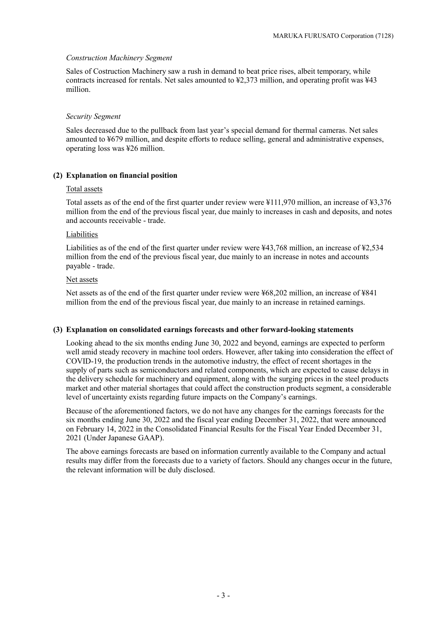#### *Construction Machinery Segment*

Sales of Costruction Machinery saw a rush in demand to beat price rises, albeit temporary, while contracts increased for rentals. Net sales amounted to ¥2,373 million, and operating profit was ¥43 million.

#### *Security Segment*

Sales decreased due to the pullback from last year's special demand for thermal cameras. Net sales amounted to ¥679 million, and despite efforts to reduce selling, general and administrative expenses, operating loss was ¥26 million.

#### <span id="page-5-0"></span>**(2) Explanation on financial position**

#### Total assets

Total assets as of the end of the first quarter under review were ¥111,970 million, an increase of ¥3,376 million from the end of the previous fiscal year, due mainly to increases in cash and deposits, and notes and accounts receivable - trade.

#### Liabilities

Liabilities as of the end of the first quarter under review were ¥43,768 million, an increase of ¥2,534 million from the end of the previous fiscal year, due mainly to an increase in notes and accounts payable - trade.

#### Net assets

Net assets as of the end of the first quarter under review were ¥68,202 million, an increase of ¥841 million from the end of the previous fiscal year, due mainly to an increase in retained earnings.

#### <span id="page-5-1"></span>**(3) Explanation on consolidated earnings forecasts and other forward-looking statements**

Looking ahead to the six months ending June 30, 2022 and beyond, earnings are expected to perform well amid steady recovery in machine tool orders. However, after taking into consideration the effect of COVID-19, the production trends in the automotive industry, the effect of recent shortages in the supply of parts such as semiconductors and related components, which are expected to cause delays in the delivery schedule for machinery and equipment, along with the surging prices in the steel products market and other material shortages that could affect the construction products segment, a considerable level of uncertainty exists regarding future impacts on the Company's earnings.

Because of the aforementioned factors, we do not have any changes for the earnings forecasts for the six months ending June 30, 2022 and the fiscal year ending December 31, 2022, that were announced on February 14, 2022 in the Consolidated Financial Results for the Fiscal Year Ended December 31, 2021 (Under Japanese GAAP).

The above earnings forecasts are based on information currently available to the Company and actual results may differ from the forecasts due to a variety of factors. Should any changes occur in the future, the relevant information will be duly disclosed.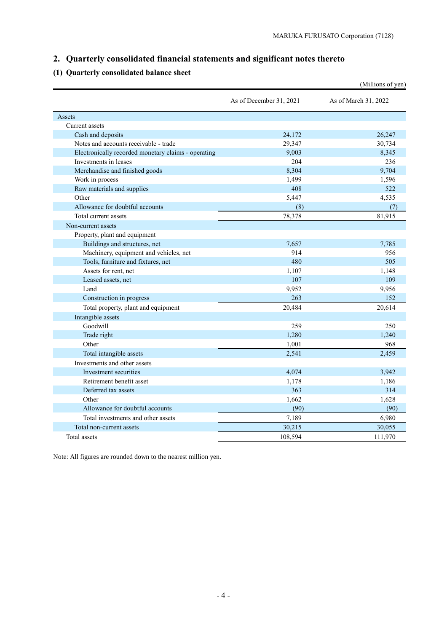# <span id="page-6-0"></span>**2. Quarterly consolidated financial statements and significant notes thereto**

# <span id="page-6-1"></span>**(1) Quarterly consolidated balance sheet**

|                                                     |                         | (Millions of yen)    |
|-----------------------------------------------------|-------------------------|----------------------|
|                                                     | As of December 31, 2021 | As of March 31, 2022 |
| Assets                                              |                         |                      |
| Current assets                                      |                         |                      |
| Cash and deposits                                   | 24,172                  | 26,247               |
| Notes and accounts receivable - trade               | 29,347                  | 30,734               |
| Electronically recorded monetary claims - operating | 9,003                   | 8,345                |
| Investments in leases                               | 204                     | 236                  |
| Merchandise and finished goods                      | 8,304                   | 9,704                |
| Work in process                                     | 1,499                   | 1,596                |
| Raw materials and supplies                          | 408                     | 522                  |
| Other                                               | 5,447                   | 4,535                |
| Allowance for doubtful accounts                     | (8)                     | (7)                  |
| Total current assets                                | 78,378                  | 81,915               |
| Non-current assets                                  |                         |                      |
| Property, plant and equipment                       |                         |                      |
| Buildings and structures, net                       | 7,657                   | 7,785                |
| Machinery, equipment and vehicles, net              | 914                     | 956                  |
| Tools, furniture and fixtures, net                  | 480                     | 505                  |
| Assets for rent, net                                | 1,107                   | 1,148                |
| Leased assets, net                                  | 107                     | 109                  |
| Land                                                | 9,952                   | 9,956                |
| Construction in progress                            | 263                     | 152                  |
| Total property, plant and equipment                 | 20,484                  | 20,614               |
| Intangible assets                                   |                         |                      |
| Goodwill                                            | 259                     | 250                  |
| Trade right                                         | 1,280                   | 1.240                |
| Other                                               | 1,001                   | 968                  |
| Total intangible assets                             | 2,541                   | 2,459                |
| Investments and other assets                        |                         |                      |
| Investment securities                               | 4,074                   | 3,942                |
| Retirement benefit asset                            | 1,178                   | 1,186                |
| Deferred tax assets                                 | 363                     | 314                  |
| Other                                               | 1,662                   | 1,628                |
| Allowance for doubtful accounts                     | (90)                    | (90)                 |
| Total investments and other assets                  | 7,189                   | 6,980                |
| Total non-current assets                            | 30,215                  | 30,055               |
| Total assets                                        | 108,594                 | 111,970              |
|                                                     |                         |                      |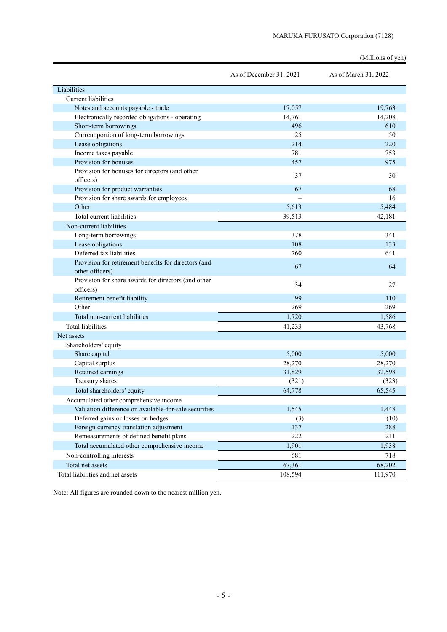|                                                       |                         | (Millions of yen)    |
|-------------------------------------------------------|-------------------------|----------------------|
|                                                       | As of December 31, 2021 | As of March 31, 2022 |
| Liabilities                                           |                         |                      |
| <b>Current liabilities</b>                            |                         |                      |
| Notes and accounts payable - trade                    | 17,057                  | 19,763               |
| Electronically recorded obligations - operating       | 14,761                  | 14,208               |
| Short-term borrowings                                 | 496                     | 610                  |
| Current portion of long-term borrowings               | 25                      | 50                   |
| Lease obligations                                     | 214                     | 220                  |
| Income taxes payable                                  | 781                     | 753                  |
| Provision for bonuses                                 | 457                     | 975                  |
| Provision for bonuses for directors (and other        | 37                      | 30                   |
| officers)                                             |                         |                      |
| Provision for product warranties                      | 67                      | 68                   |
| Provision for share awards for employees              |                         | 16                   |
| Other                                                 | 5,613                   | 5,484                |
| Total current liabilities                             | 39,513                  | 42,181               |
| Non-current liabilities                               |                         |                      |
| Long-term borrowings                                  | 378                     | 341                  |
| Lease obligations                                     | 108                     | 133                  |
| Deferred tax liabilities                              | 760                     | 641                  |
| Provision for retirement benefits for directors (and  | 67                      | 64                   |
| other officers)                                       |                         |                      |
| Provision for share awards for directors (and other   | 34                      | 27                   |
| officers)                                             |                         |                      |
| Retirement benefit liability                          | 99                      | 110                  |
| Other                                                 | 269                     | 269                  |
| Total non-current liabilities                         | 1,720                   | 1,586                |
| <b>Total liabilities</b>                              | 41,233                  | 43,768               |
| Net assets                                            |                         |                      |
| Shareholders' equity                                  |                         |                      |
| Share capital                                         | 5,000                   | 5,000                |
| Capital surplus                                       | 28,270                  | 28,270               |
| Retained earnings                                     | 31,829                  | 32,598               |
| Treasury shares                                       | (321)                   | (323)                |
| Total shareholders' equity                            | 64,778                  | 65,545               |
| Accumulated other comprehensive income                |                         |                      |
| Valuation difference on available-for-sale securities | 1,545                   | 1,448                |
| Deferred gains or losses on hedges                    | (3)                     | (10)                 |
| Foreign currency translation adjustment               | 137                     | 288                  |
| Remeasurements of defined benefit plans               | 222                     | 211                  |
| Total accumulated other comprehensive income          | 1,901                   | 1,938                |
| Non-controlling interests                             | 681                     | 718                  |
| Total net assets                                      | 67,361                  | 68,202               |
| Total liabilities and net assets                      | 108,594                 | 111,970              |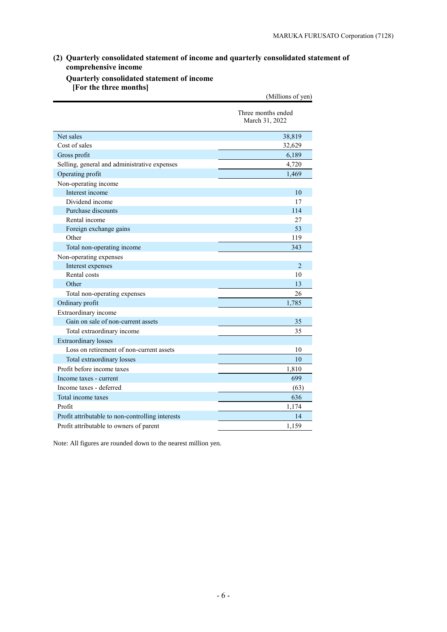# <span id="page-8-0"></span>**(2) Quarterly consolidated statement of income and quarterly consolidated statement of comprehensive income**

## <span id="page-8-1"></span>**Quarterly consolidated statement of income [For the three months]**

|                                                  | (Millions of yen)                    |
|--------------------------------------------------|--------------------------------------|
|                                                  | Three months ended<br>March 31, 2022 |
| Net sales                                        | 38,819                               |
| Cost of sales                                    | 32,629                               |
| Gross profit                                     | 6,189                                |
| Selling, general and administrative expenses     | 4,720                                |
| Operating profit                                 | 1,469                                |
| Non-operating income                             |                                      |
| Interest income                                  | 10                                   |
| Dividend income                                  | 17                                   |
| Purchase discounts                               | 114                                  |
| Rental income                                    | 27                                   |
| Foreign exchange gains                           | 53                                   |
| Other                                            | 119                                  |
| Total non-operating income                       | 343                                  |
| Non-operating expenses                           |                                      |
| Interest expenses                                | 2                                    |
| Rental costs                                     | 10                                   |
| Other                                            | 13                                   |
| Total non-operating expenses                     | 26                                   |
| Ordinary profit                                  | 1,785                                |
| Extraordinary income                             |                                      |
| Gain on sale of non-current assets               | 35                                   |
| Total extraordinary income                       | 35                                   |
| <b>Extraordinary losses</b>                      |                                      |
| Loss on retirement of non-current assets         | 10                                   |
| Total extraordinary losses                       | 10                                   |
| Profit before income taxes                       | 1,810                                |
| Income taxes - current                           | 699                                  |
| Income taxes - deferred                          | (63)                                 |
| Total income taxes                               | 636                                  |
| Profit                                           | 1,174                                |
| Profit attributable to non-controlling interests | 14                                   |
| Profit attributable to owners of parent          | 1.159                                |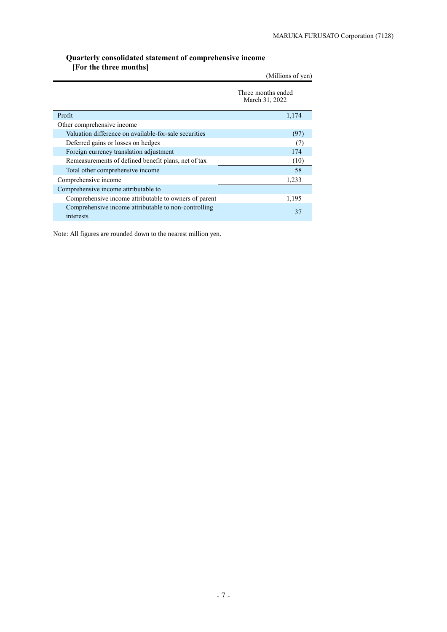#### <span id="page-9-0"></span>**Quarterly consolidated statement of comprehensive income [For the three months]**

| (Millions of yen)                                                 |                                      |  |  |  |
|-------------------------------------------------------------------|--------------------------------------|--|--|--|
|                                                                   | Three months ended<br>March 31, 2022 |  |  |  |
| Profit                                                            | 1,174                                |  |  |  |
| Other comprehensive income                                        |                                      |  |  |  |
| Valuation difference on available-for-sale securities             | (97)                                 |  |  |  |
| Deferred gains or losses on hedges                                | (7)                                  |  |  |  |
| Foreign currency translation adjustment                           | 174                                  |  |  |  |
| Remeasurements of defined benefit plans, net of tax               | (10)                                 |  |  |  |
| Total other comprehensive income                                  | 58                                   |  |  |  |
| Comprehensive income                                              | 1,233                                |  |  |  |
| Comprehensive income attributable to                              |                                      |  |  |  |
| Comprehensive income attributable to owners of parent             | 1,195                                |  |  |  |
| Comprehensive income attributable to non-controlling<br>interests | 37                                   |  |  |  |